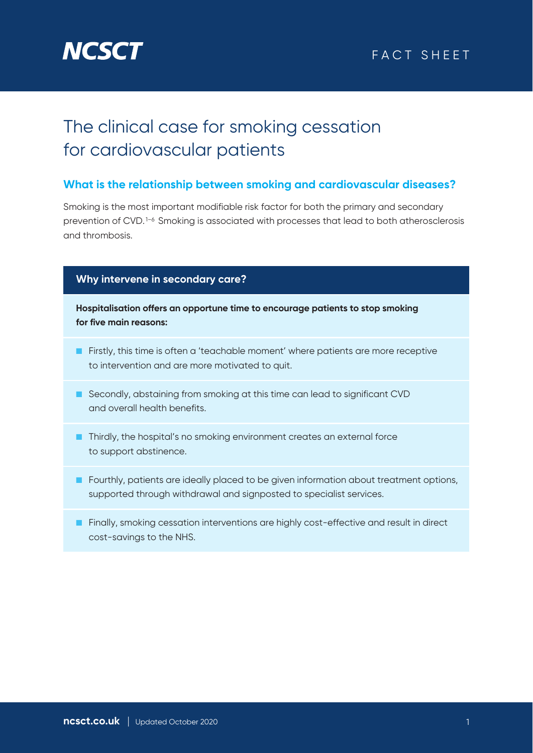

# The clinical case for smoking cessation for cardiovascular patients

## **What is the relationship between smoking and cardiovascular diseases?**

Smoking is the most important modifiable risk factor for both the primary and secondary prevention of CVD.1–6 Smoking is associated with processes that lead to both atherosclerosis and thrombosis.

### **Why intervene in secondary care?**

**Hospitalisation offers an opportune time to encourage patients to stop smoking for five main reasons:**

- Firstly, this time is often a 'teachable moment' where patients are more receptive to intervention and are more motivated to quit.
- Secondly, abstaining from smoking at this time can lead to significant CVD and overall health benefits.
- Thirdly, the hospital's no smoking environment creates an external force to support abstinence.
- Fourthly, patients are ideally placed to be given information about treatment options, supported through withdrawal and signposted to specialist services.
- Finally, smoking cessation interventions are highly cost-effective and result in direct cost-savings to the NHS.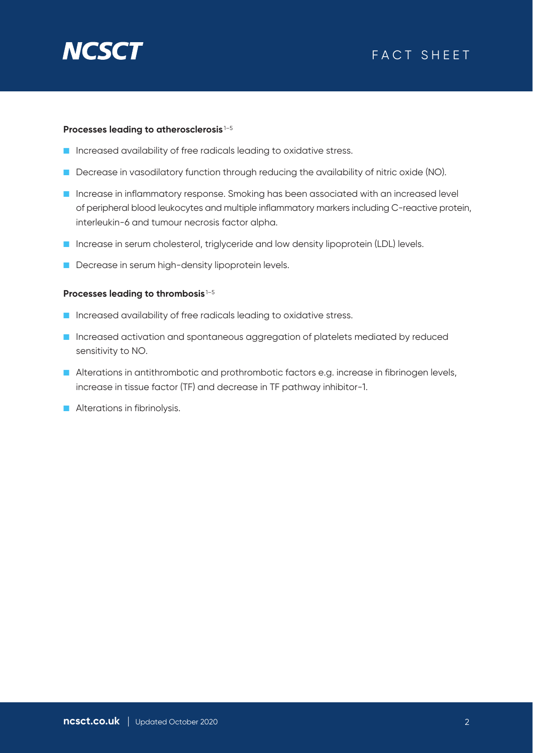

#### **Processes leading to atherosclerosis**1–5

- Increased availability of free radicals leading to oxidative stress.
- Decrease in vasodilatory function through reducing the availability of nitric oxide (NO).
- Increase in inflammatory response. Smoking has been associated with an increased level of peripheral blood leukocytes and multiple inflammatory markers including C-reactive protein, interleukin-6 and tumour necrosis factor alpha.
- Increase in serum cholesterol, triglyceride and low density lipoprotein (LDL) levels.
- Decrease in serum high-density lipoprotein levels.

#### **Processes leading to thrombosis**<sup>1-5</sup>

- Increased availability of free radicals leading to oxidative stress.
- Increased activation and spontaneous aggregation of platelets mediated by reduced sensitivity to NO.
- Alterations in antithrombotic and prothrombotic factors e.g. increase in fibrinogen levels, increase in tissue factor (TF) and decrease in TF pathway inhibitor-1.
- Alterations in fibrinolysis.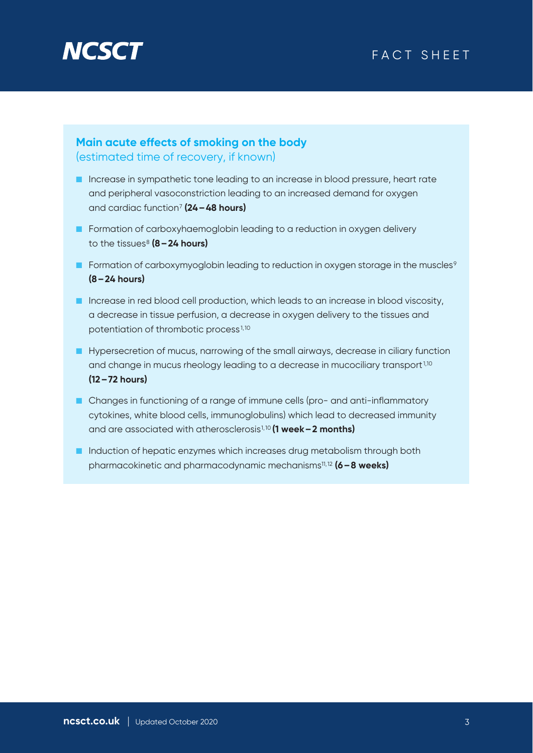# **NCSC**

# FACT SHEET

# **Main acute effects of smoking on the body** (estimated time of recovery, if known)

- Increase in sympathetic tone leading to an increase in blood pressure, heart rate and peripheral vasoconstriction leading to an increased demand for oxygen and cardiac function7 **(24–48 hours)**
- Formation of carboxyhaemoglobin leading to a reduction in oxygen delivery to the tissues<sup>8</sup> (8-24 hours)
- Formation of carboxymyoglobin leading to reduction in oxygen storage in the muscles<sup>9</sup> **(8–24 hours)**
- Increase in red blood cell production, which leads to an increase in blood viscosity, a decrease in tissue perfusion, a decrease in oxygen delivery to the tissues and potentiation of thrombotic process<sup>1,10</sup>
- Hypersecretion of mucus, narrowing of the small airways, decrease in ciliary function and change in mucus rheology leading to a decrease in mucociliary transport<sup>1,10</sup> **(12–72 hours)**
- Changes in functioning of a range of immune cells (pro- and anti-inflammatory cytokines, white blood cells, immunoglobulins) which lead to decreased immunity and are associated with atherosclerosis1,10 **(1 week–2 months)**
- Induction of hepatic enzymes which increases drug metabolism through both pharmacokinetic and pharmacodynamic mechanisms11,12 **(6–8 weeks)**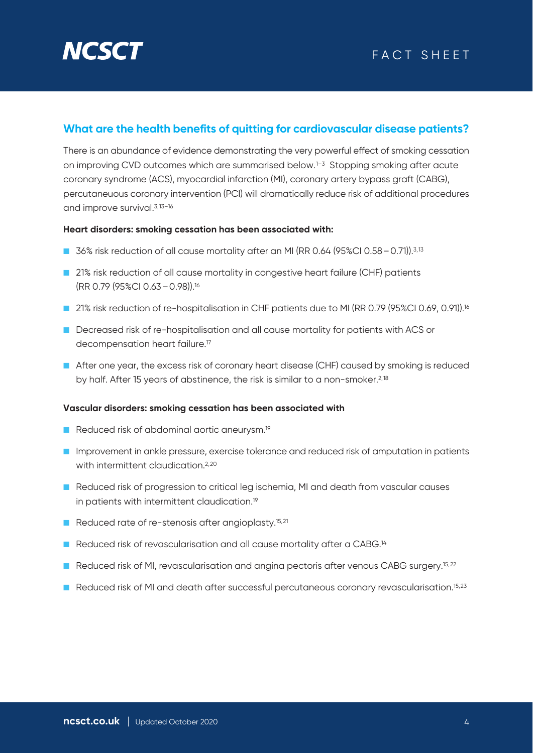

# **What are the health benefits of quitting for cardiovascular disease patients?**

There is an abundance of evidence demonstrating the very powerful effect of smoking cessation on improving CVD outcomes which are summarised below.1–3 Stopping smoking after acute coronary syndrome (ACS), myocardial infarction (MI), coronary artery bypass graft (CABG), percutaneuous coronary intervention (PCI) will dramatically reduce risk of additional procedures and improve survival.3,13–16

#### **Heart disorders: smoking cessation has been associated with:**

- 36% risk reduction of all cause mortality after an MI (RR 0.64 (95%CI 0.58 0.71)).<sup>3,13</sup>
- 21% risk reduction of all cause mortality in congestive heart failure (CHF) patients (RR 0.79 (95%CI 0.63–0.98)).16
- 21% risk reduction of re-hospitalisation in CHF patients due to MI (RR 0.79 (95%CI 0.69, 0.91)).<sup>16</sup>
- Decreased risk of re-hospitalisation and all cause mortality for patients with ACS or decompensation heart failure.<sup>17</sup>
- After one year, the excess risk of coronary heart disease (CHF) caused by smoking is reduced by half. After 15 years of abstinence, the risk is similar to a non-smoker.<sup>2,18</sup>

#### **Vascular disorders: smoking cessation has been associated with**

- Reduced risk of abdominal aortic aneurysm.<sup>19</sup>
- Improvement in ankle pressure, exercise tolerance and reduced risk of amputation in patients with intermittent claudication.<sup>2,20</sup>
- Reduced risk of progression to critical leg ischemia, MI and death from vascular causes in patients with intermittent claudication.19
- Reduced rate of re-stenosis after angioplasty.<sup>15,21</sup>
- Reduced risk of revascularisation and all cause mortality after a CABG.<sup>14</sup>
- Reduced risk of MI, revascularisation and angina pectoris after venous CABG surgery.<sup>15,22</sup>
- Reduced risk of MI and death after successful percutaneous coronary revascularisation.<sup>15,23</sup>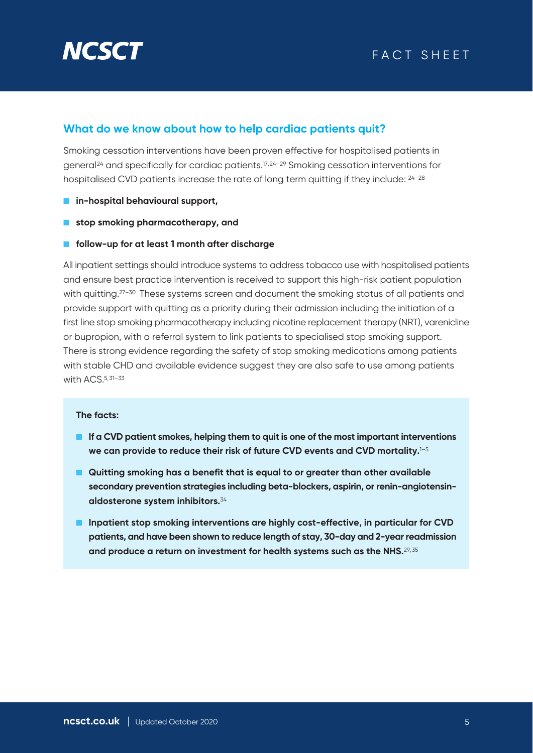

# **What do we know about how to help cardiac patients quit?**

Smoking cessation interventions have been proven effective for hospitalised patients in general24 and specifically for cardiac patients.17,24–29 Smoking cessation interventions for hospitalised CVD patients increase the rate of long term quitting if they include:  $24-28$ 

- **in-hospital behavioural support,**
- **stop smoking pharmacotherapy, and**
- **follow-up for at least 1 month after discharge**

All inpatient settings should introduce systems to address tobacco use with hospitalised patients and ensure best practice intervention is received to support this high-risk patient population with quitting.<sup>27-30</sup> These systems screen and document the smoking status of all patients and provide support with quitting as a priority during their admission including the initiation of a first line stop smoking pharmacotherapy including nicotine replacement therapy (NRT), varenicline or bupropion, with a referral system to link patients to specialised stop smoking support. There is strong evidence regarding the safety of stop smoking medications among patients with stable CHD and available evidence suggest they are also safe to use among patients with ACS.5,31–33

#### **The facts:**

- If a CVD patient smokes, helping them to quit is one of the most important interventions **we can provide to reduce their risk of future CVD events and CVD mortality.**1–5
- **Quitting smoking has a benefit that is equal to or greater than other available secondary prevention strategies including beta-blockers, aspirin, or renin-angiotensinaldosterone system inhibitors.**<sup>34</sup>
- **Inpatient stop smoking interventions are highly cost-effective, in particular for CVD patients, and have been shown to reduce length of stay, 30-day and 2-year readmission and produce a return on investment for health systems such as the NHS.**29,35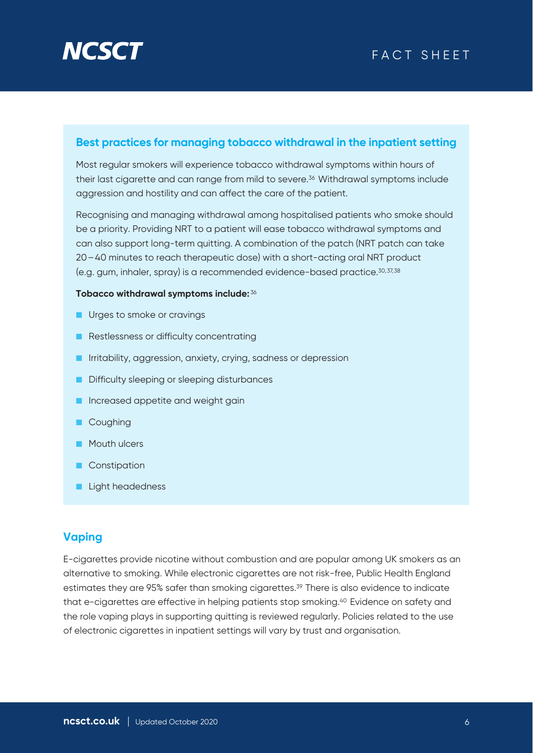

## **Best practices for managing tobacco withdrawal in the inpatient setting**

Most regular smokers will experience tobacco withdrawal symptoms within hours of their last cigarette and can range from mild to severe.<sup>36</sup> Withdrawal symptoms include aggression and hostility and can affect the care of the patient.

Recognising and managing withdrawal among hospitalised patients who smoke should be a priority. Providing NRT to a patient will ease tobacco withdrawal symptoms and can also support long-term quitting. A combination of the patch (NRT patch can take 20–40 minutes to reach therapeutic dose) with a short-acting oral NRT product (e.g. gum, inhaler, spray) is a recommended evidence-based practice.30,37,38

#### **Tobacco withdrawal symptoms include:** <sup>36</sup>

- Urges to smoke or cravings
- Restlessness or difficulty concentrating
- Irritability, aggression, anxiety, crying, sadness or depression
- Difficulty sleeping or sleeping disturbances
- Increased appetite and weight gain
- Coughing
- **Mouth ulcers**
- Constipation
- Light headedness

# **Vaping**

E-cigarettes provide nicotine without combustion and are popular among UK smokers as an alternative to smoking. While electronic cigarettes are not risk-free, Public Health England estimates they are 95% safer than smoking cigarettes.39 There is also evidence to indicate that e-cigarettes are effective in helping patients stop smoking.40 Evidence on safety and the role vaping plays in supporting quitting is reviewed regularly. Policies related to the use of electronic cigarettes in inpatient settings will vary by trust and organisation.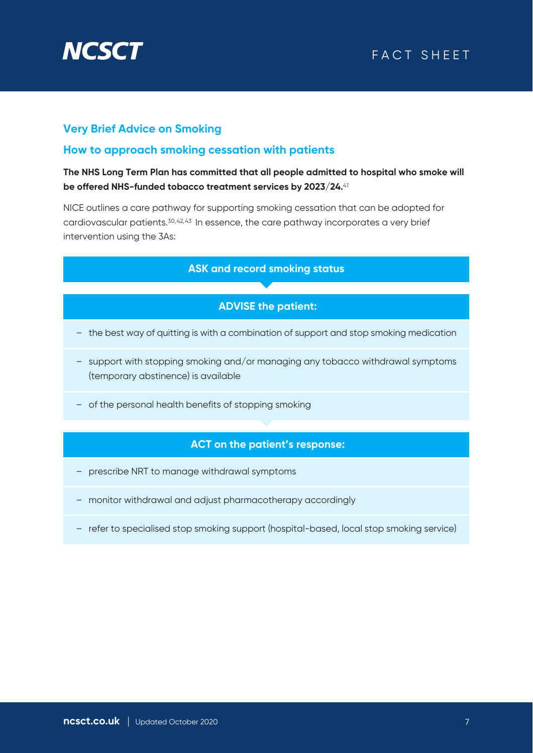

# **Very Brief Advice on Smoking**

## **How to approach smoking cessation with patients**

## **The NHS Long Term Plan has committed that all people admitted to hospital who smoke will be offered NHS-funded tobacco treatment services by 2023/24.**<sup>41</sup>

NICE outlines a care pathway for supporting smoking cessation that can be adopted for cardiovascular patients.30,42,43 In essence, the care pathway incorporates a very brief intervention using the 3As:

#### **ASK and record smoking status**

## **ADVISE the patient:**

- the best way of quitting is with a combination of support and stop smoking medication
- support with stopping smoking and/or managing any tobacco withdrawal symptoms (temporary abstinence) is available
- of the personal health benefits of stopping smoking

#### **ACT on the patient's response:**

- prescribe NRT to manage withdrawal symptoms
- monitor withdrawal and adjust pharmacotherapy accordingly
- refer to specialised stop smoking support (hospital-based, local stop smoking service)